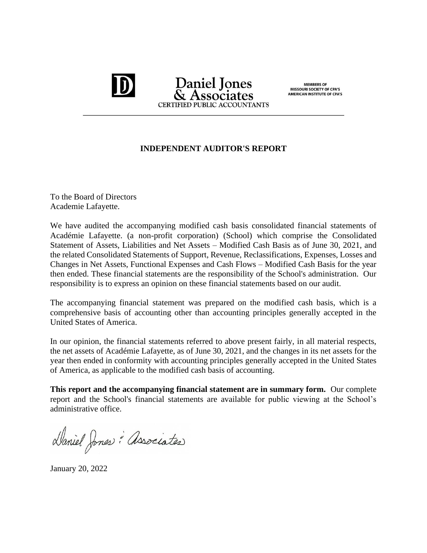## **Daniel Jones CERTIFIED PUBLIC ACCOUNTANTS**

MEMBERS OF<br>MISSOURI SOCIETY OF CPA'S **AMERICAN INSTITUTE OF CPA'S** 

## **INDEPENDENT AUDITOR'S REPORT**

To the Board of Directors Academie Lafayette.

We have audited the accompanying modified cash basis consolidated financial statements of Académie Lafayette. (a non-profit corporation) (School) which comprise the Consolidated Statement of Assets, Liabilities and Net Assets – Modified Cash Basis as of June 30, 2021, and the related Consolidated Statements of Support, Revenue, Reclassifications, Expenses, Losses and Changes in Net Assets, Functional Expenses and Cash Flows – Modified Cash Basis for the year then ended. These financial statements are the responsibility of the School's administration. Our responsibility is to express an opinion on these financial statements based on our audit.

The accompanying financial statement was prepared on the modified cash basis, which is a comprehensive basis of accounting other than accounting principles generally accepted in the United States of America.

In our opinion, the financial statements referred to above present fairly, in all material respects, the net assets of Académie Lafayette, as of June 30, 2021, and the changes in its net assets for the year then ended in conformity with accounting principles generally accepted in the United States of America, as applicable to the modified cash basis of accounting.

**This report and the accompanying financial statement are in summary form.** Our complete report and the School's financial statements are available for public viewing at the School's administrative office.

Daniel Jones : Associates

January 20, 2022